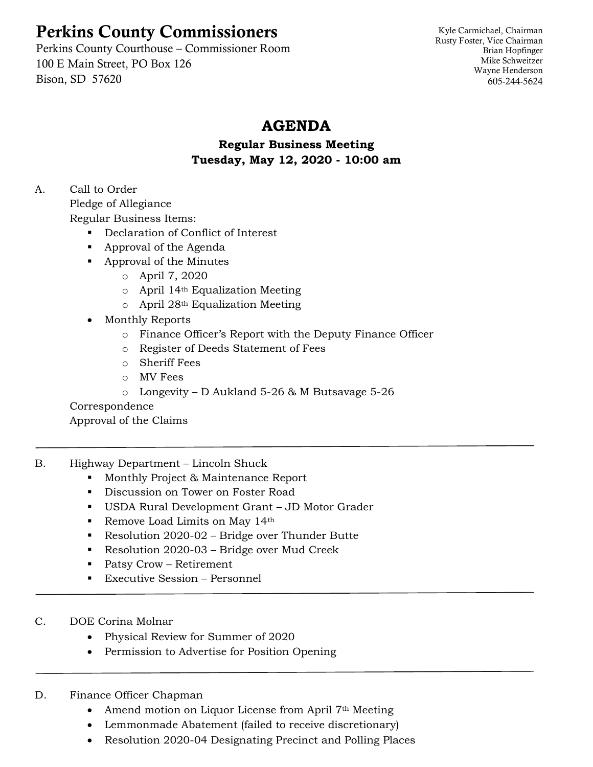# Perkins County Commissioners

Perkins County Courthouse – Commissioner Room 100 E Main Street, PO Box 126 Bison, SD 57620

Kyle Carmichael, Chairman Rusty Foster, Vice Chairman Brian Hopfinger Mike Schweitzer Wayne Henderson 605-244-5624

## **AGENDA**

### **Regular Business Meeting Tuesday, May 12, 2020 - 10:00 am**

## A. Call to Order

Pledge of Allegiance

Regular Business Items:

- Declaration of Conflict of Interest
- Approval of the Agenda
- Approval of the Minutes
	- o April 7, 2020
	- o April 14th Equalization Meeting
	- o April 28th Equalization Meeting
- Monthly Reports
	- o Finance Officer's Report with the Deputy Finance Officer
	- o Register of Deeds Statement of Fees
	- o Sheriff Fees
	- o MV Fees
	- o Longevity D Aukland 5-26 & M Butsavage 5-26

#### Correspondence

Approval of the Claims

- B. Highway Department Lincoln Shuck
	- Monthly Project & Maintenance Report
	- Discussion on Tower on Foster Road
	- USDA Rural Development Grant JD Motor Grader
	- Remove Load Limits on May 14<sup>th</sup>
	- Resolution 2020-02 Bridge over Thunder Butte
	- Resolution 2020-03 Bridge over Mud Creek
	- Patsy Crow Retirement
	- Executive Session Personnel
- C. DOE Corina Molnar
	- Physical Review for Summer of 2020
	- Permission to Advertise for Position Opening

#### D. Finance Officer Chapman

- Amend motion on Liquor License from April 7<sup>th</sup> Meeting
- Lemmonmade Abatement (failed to receive discretionary)
- Resolution 2020-04 Designating Precinct and Polling Places